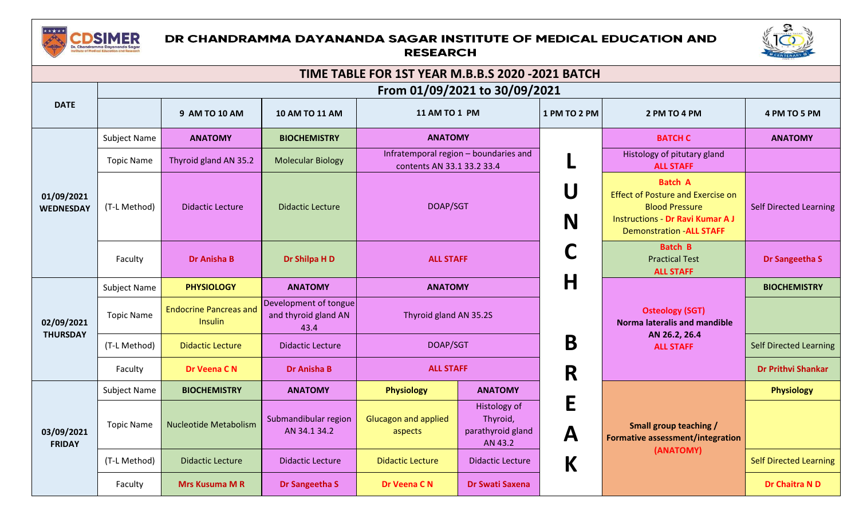

## DR CHANDRAMMA DAYANANDA SAGAR INSTITUTE OF MEDICAL EDUCATION AND **RESEARCH**



| TIME TABLE FOR 1ST YEAR M.B.B.S 2020 -2021 BATCH |                               |                                                 |                                                       |                                                                     |                                                          |              |                                                                                                                                                                   |                               |  |  |
|--------------------------------------------------|-------------------------------|-------------------------------------------------|-------------------------------------------------------|---------------------------------------------------------------------|----------------------------------------------------------|--------------|-------------------------------------------------------------------------------------------------------------------------------------------------------------------|-------------------------------|--|--|
|                                                  | From 01/09/2021 to 30/09/2021 |                                                 |                                                       |                                                                     |                                                          |              |                                                                                                                                                                   |                               |  |  |
| <b>DATE</b>                                      |                               | 9 AM TO 10 AM                                   | 10 AM TO 11 AM                                        | 11 AM TO 1 PM                                                       |                                                          | 1 PM TO 2 PM | 2 PM TO 4 PM                                                                                                                                                      | 4 PM TO 5 PM                  |  |  |
|                                                  | Subject Name                  | <b>ANATOMY</b>                                  | <b>BIOCHEMISTRY</b>                                   |                                                                     | <b>ANATOMY</b>                                           |              | <b>BATCH C</b>                                                                                                                                                    | <b>ANATOMY</b>                |  |  |
| 01/09/2021<br><b>WEDNESDAY</b>                   | <b>Topic Name</b>             | Thyroid gland AN 35.2                           | <b>Molecular Biology</b>                              | Infratemporal region - boundaries and<br>contents AN 33.1 33.2 33.4 |                                                          |              | Histology of pitutary gland<br><b>ALL STAFF</b>                                                                                                                   |                               |  |  |
|                                                  | (T-L Method)                  | <b>Didactic Lecture</b>                         | <b>Didactic Lecture</b>                               | DOAP/SGT                                                            |                                                          | U<br>N       | <b>Batch A</b><br><b>Effect of Posture and Exercise on</b><br><b>Blood Pressure</b><br><b>Instructions - Dr Ravi Kumar AJ</b><br><b>Demonstration - ALL STAFF</b> | <b>Self Directed Learning</b> |  |  |
|                                                  | Faculty                       | <b>Dr Anisha B</b>                              | Dr Shilpa H D                                         | <b>ALL STAFF</b>                                                    |                                                          |              | <b>Batch B</b><br><b>Practical Test</b><br><b>ALL STAFF</b>                                                                                                       | Dr Sangeetha S                |  |  |
|                                                  | Subject Name                  | <b>PHYSIOLOGY</b>                               | <b>ANATOMY</b>                                        | <b>ANATOMY</b>                                                      |                                                          | Η            |                                                                                                                                                                   | <b>BIOCHEMISTRY</b>           |  |  |
| 02/09/2021                                       | <b>Topic Name</b>             | <b>Endocrine Pancreas and</b><br><b>Insulin</b> | Development of tongue<br>and thyroid gland AN<br>43.4 | Thyroid gland AN 35.2S                                              |                                                          |              | <b>Osteology (SGT)</b><br><b>Norma lateralis and mandible</b>                                                                                                     |                               |  |  |
| <b>THURSDAY</b>                                  | (T-L Method)                  | <b>Didactic Lecture</b>                         | <b>Didactic Lecture</b>                               | DOAP/SGT                                                            |                                                          | B            | AN 26.2, 26.4<br><b>ALL STAFF</b>                                                                                                                                 | <b>Self Directed Learning</b> |  |  |
|                                                  | Faculty                       | Dr Veena CN                                     | <b>Dr Anisha B</b>                                    | <b>ALL STAFF</b>                                                    |                                                          | R            |                                                                                                                                                                   |                               |  |  |
|                                                  | <b>Subject Name</b>           | <b>BIOCHEMISTRY</b>                             | <b>ANATOMY</b>                                        | <b>Physiology</b>                                                   | <b>ANATOMY</b>                                           |              |                                                                                                                                                                   | <b>Physiology</b>             |  |  |
| 03/09/2021<br><b>FRIDAY</b>                      | <b>Topic Name</b>             | <b>Nucleotide Metabolism</b>                    | Submandibular region<br>AN 34.1 34.2                  | <b>Glucagon and applied</b><br>aspects                              | Histology of<br>Thyroid,<br>parathyroid gland<br>AN 43.2 | Е<br>A       | Small group teaching /<br>Formative assessment/integration<br>(ANATOMY)                                                                                           |                               |  |  |
|                                                  | (T-L Method)                  | <b>Didactic Lecture</b>                         | <b>Didactic Lecture</b>                               | <b>Didactic Lecture</b>                                             | <b>Didactic Lecture</b>                                  | К            |                                                                                                                                                                   | <b>Self Directed Learning</b> |  |  |
|                                                  | Faculty                       | <b>Mrs Kusuma M R</b>                           | Dr Sangeetha S                                        | Dr Veena C N                                                        | <b>Dr Swati Saxena</b>                                   |              |                                                                                                                                                                   | Dr Chaitra N D                |  |  |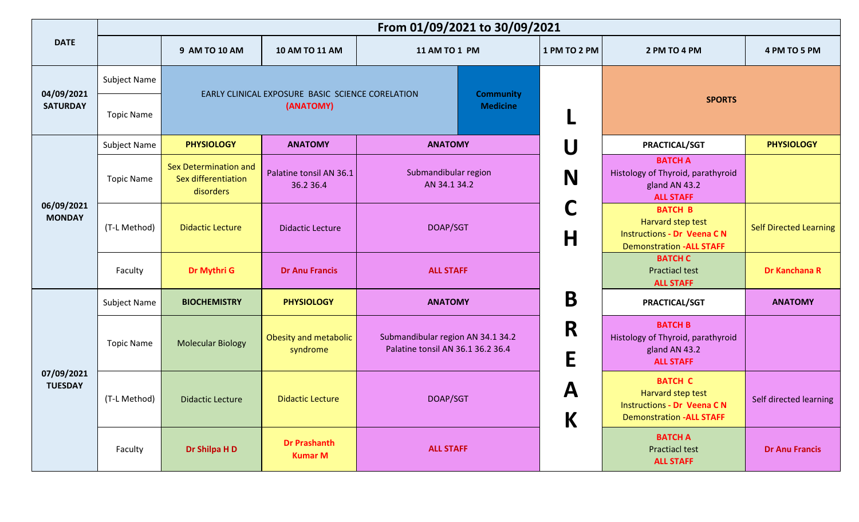|                              | From 01/09/2021 to 30/09/2021 |                                                           |                                                  |                                                                        |                                |                                                                                                             |                               |  |
|------------------------------|-------------------------------|-----------------------------------------------------------|--------------------------------------------------|------------------------------------------------------------------------|--------------------------------|-------------------------------------------------------------------------------------------------------------|-------------------------------|--|
| <b>DATE</b>                  |                               | 9 AM TO 10 AM                                             | 10 AM TO 11 AM                                   | 11 AM TO 1 PM                                                          | 1 PM TO 2 PM                   | 2 PM TO 4 PM                                                                                                | 4 PM TO 5 PM                  |  |
| 04/09/2021                   | Subject Name                  |                                                           | EARLY CLINICAL EXPOSURE BASIC SCIENCE CORELATION | <b>Community</b>                                                       |                                |                                                                                                             |                               |  |
| <b>SATURDAY</b>              | <b>Topic Name</b>             |                                                           | (ANATOMY)                                        | <b>Medicine</b>                                                        |                                | <b>SPORTS</b>                                                                                               |                               |  |
|                              | Subject Name                  | <b>PHYSIOLOGY</b>                                         | <b>ANATOMY</b>                                   | <b>ANATOMY</b>                                                         | U                              | <b>PRACTICAL/SGT</b>                                                                                        | <b>PHYSIOLOGY</b>             |  |
| 06/09/2021<br><b>MONDAY</b>  | <b>Topic Name</b>             | Sex Determination and<br>Sex differentiation<br>disorders | Palatine tonsil AN 36.1<br>36.2 36.4             | Submandibular region<br>AN 34.1 34.2                                   | N                              | <b>BATCH A</b><br>Histology of Thyroid, parathyroid<br>gland AN 43.2<br><b>ALL STAFF</b>                    |                               |  |
|                              | (T-L Method)                  | <b>Didactic Lecture</b>                                   | <b>Didactic Lecture</b>                          | DOAP/SGT                                                               | C<br>$\mathsf{H}$              | <b>BATCH B</b><br>Harvard step test<br><b>Instructions - Dr Veena CN</b><br><b>Demonstration -ALL STAFF</b> | <b>Self Directed Learning</b> |  |
|                              | Faculty                       | Dr Mythri G                                               | <b>Dr Anu Francis</b>                            | <b>ALL STAFF</b>                                                       |                                | <b>BATCH C</b><br><b>Practiacl test</b><br><b>ALL STAFF</b>                                                 | Dr Kanchana R                 |  |
|                              | Subject Name                  | <b>BIOCHEMISTRY</b>                                       | <b>PHYSIOLOGY</b>                                | <b>ANATOMY</b>                                                         | B                              | PRACTICAL/SGT                                                                                               | <b>ANATOMY</b>                |  |
|                              | <b>Topic Name</b>             | <b>Molecular Biology</b>                                  | Obesity and metabolic<br>syndrome                | Submandibular region AN 34.1 34.2<br>Palatine tonsil AN 36.1 36.2 36.4 | R<br>E                         | <b>BATCH B</b><br>Histology of Thyroid, parathyroid<br>gland AN 43.2<br><b>ALL STAFF</b>                    |                               |  |
| 07/09/2021<br><b>TUESDAY</b> | (T-L Method)                  | Didactic Lecture                                          | <b>Didactic Lecture</b>                          | DOAP/SGT                                                               | $\boldsymbol{\mathsf{A}}$<br>K | <b>BATCH C</b><br>Harvard step test<br><b>Instructions - Dr Veena CN</b><br><b>Demonstration -ALL STAFF</b> | Self directed learning        |  |
|                              | Faculty                       | Dr Shilpa H D                                             | <b>Dr Prashanth</b><br><b>Kumar M</b>            | <b>ALL STAFF</b>                                                       |                                | <b>BATCH A</b><br><b>Practiacl test</b><br><b>ALL STAFF</b>                                                 | <b>Dr Anu Francis</b>         |  |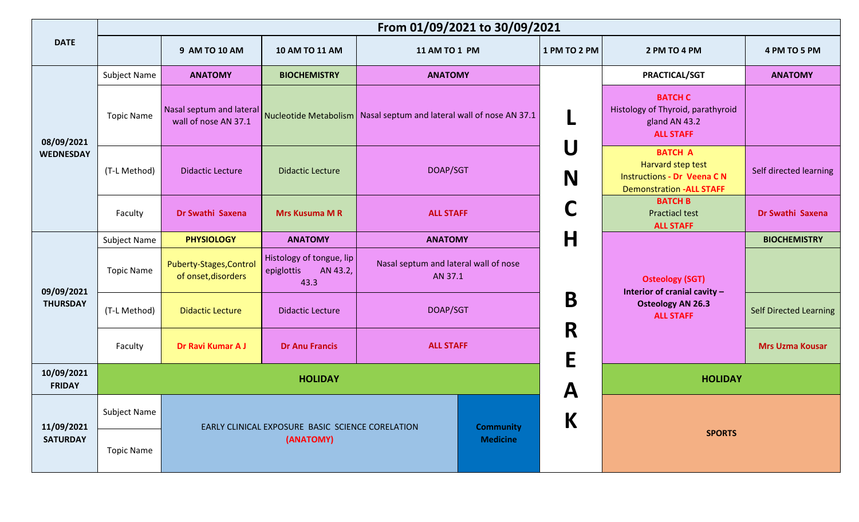|                                |                     | From 01/09/2021 to 30/09/2021                    |                                                            |                                                                       |              |                                                                                                             |                               |  |  |
|--------------------------------|---------------------|--------------------------------------------------|------------------------------------------------------------|-----------------------------------------------------------------------|--------------|-------------------------------------------------------------------------------------------------------------|-------------------------------|--|--|
| <b>DATE</b>                    |                     | 9 AM TO 10 AM                                    | 10 AM TO 11 AM                                             | 11 AM TO 1 PM                                                         | 1 PM TO 2 PM | 2 PM TO 4 PM                                                                                                | 4 PM TO 5 PM                  |  |  |
|                                | Subject Name        | <b>ANATOMY</b>                                   | <b>BIOCHEMISTRY</b>                                        | <b>ANATOMY</b>                                                        |              | <b>PRACTICAL/SGT</b>                                                                                        | <b>ANATOMY</b>                |  |  |
| 08/09/2021<br><b>WEDNESDAY</b> | <b>Topic Name</b>   | Nasal septum and lateral<br>wall of nose AN 37.1 |                                                            | Nucleotide Metabolism   Nasal septum and lateral wall of nose AN 37.1 |              | <b>BATCH C</b><br>Histology of Thyroid, parathyroid<br>gland AN 43.2<br><b>ALL STAFF</b>                    |                               |  |  |
|                                | (T-L Method)        | <b>Didactic Lecture</b>                          | <b>Didactic Lecture</b>                                    | DOAP/SGT<br>N                                                         |              | <b>BATCH A</b><br>Harvard step test<br><b>Instructions - Dr Veena CN</b><br><b>Demonstration -ALL STAFF</b> | Self directed learning        |  |  |
|                                | Faculty             | Dr Swathi Saxena                                 | <b>Mrs Kusuma MR</b>                                       | <b>ALL STAFF</b>                                                      |              | <b>BATCH B</b><br><b>Practiacl test</b><br><b>ALL STAFF</b>                                                 | Dr Swathi Saxena              |  |  |
|                                | Subject Name        | <b>PHYSIOLOGY</b>                                | <b>ANATOMY</b>                                             | <b>ANATOMY</b>                                                        | H            |                                                                                                             | <b>BIOCHEMISTRY</b>           |  |  |
| 09/09/2021                     | <b>Topic Name</b>   | Puberty-Stages, Control<br>of onset, disorders   | Histology of tongue, lip<br>epiglottis<br>AN 43.2,<br>43.3 | Nasal septum and lateral wall of nose<br>AN 37.1                      |              | <b>Osteology (SGT)</b><br>Interior of cranial cavity -                                                      |                               |  |  |
| <b>THURSDAY</b>                | (T-L Method)        | <b>Didactic Lecture</b>                          | <b>Didactic Lecture</b>                                    | DOAP/SGT                                                              | B            | <b>Osteology AN 26.3</b><br><b>ALL STAFF</b>                                                                | <b>Self Directed Learning</b> |  |  |
|                                | Faculty             | Dr Ravi Kumar A J                                | <b>Dr Anu Francis</b>                                      | <b>ALL STAFF</b>                                                      | R<br>E       |                                                                                                             | <b>Mrs Uzma Kousar</b>        |  |  |
| 10/09/2021<br><b>FRIDAY</b>    |                     |                                                  | <b>HOLIDAY</b>                                             |                                                                       | A            | <b>HOLIDAY</b>                                                                                              |                               |  |  |
| 11/09/2021                     | <b>Subject Name</b> |                                                  | EARLY CLINICAL EXPOSURE BASIC SCIENCE CORELATION           | K<br><b>Community</b>                                                 |              |                                                                                                             |                               |  |  |
| <b>SATURDAY</b>                | <b>Topic Name</b>   |                                                  | (ANATOMY)                                                  | <b>Medicine</b>                                                       |              | <b>SPORTS</b>                                                                                               |                               |  |  |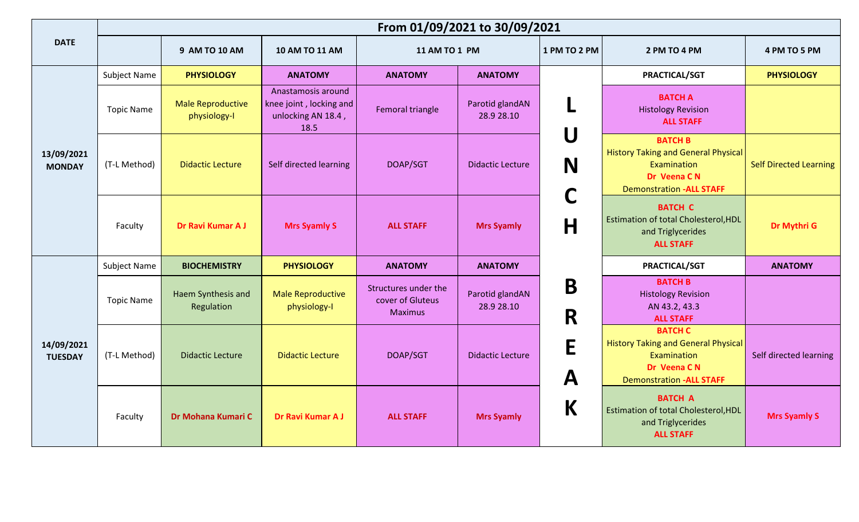|                              | From 01/09/2021 to 30/09/2021 |                                          |                                                                             |                                                            |                               |                                                      |                                                                                                                               |                               |  |
|------------------------------|-------------------------------|------------------------------------------|-----------------------------------------------------------------------------|------------------------------------------------------------|-------------------------------|------------------------------------------------------|-------------------------------------------------------------------------------------------------------------------------------|-------------------------------|--|
| <b>DATE</b>                  |                               | 9 AM TO 10 AM                            | 10 AM TO 11 AM                                                              | 11 AM TO 1 PM                                              |                               | 1 PM TO 2 PM                                         | 2 PM TO 4 PM                                                                                                                  | 4 PM TO 5 PM                  |  |
|                              | <b>Subject Name</b>           | <b>PHYSIOLOGY</b>                        | <b>ANATOMY</b>                                                              | <b>ANATOMY</b>                                             | <b>ANATOMY</b>                |                                                      | PRACTICAL/SGT                                                                                                                 | <b>PHYSIOLOGY</b>             |  |
| 13/09/2021<br><b>MONDAY</b>  | <b>Topic Name</b>             | <b>Male Reproductive</b><br>physiology-I | Anastamosis around<br>knee joint, locking and<br>unlocking AN 18.4,<br>18.5 | Femoral triangle                                           | Parotid glandAN<br>28.9 28.10 |                                                      | <b>BATCH A</b><br><b>Histology Revision</b><br><b>ALL STAFF</b>                                                               |                               |  |
|                              | (T-L Method)                  | <b>Didactic Lecture</b>                  | Self directed learning                                                      | DOAP/SGT                                                   | <b>Didactic Lecture</b>       | $\mathsf{U}% _{t}\left( \mathcal{F}_{t}\right)$<br>N | <b>BATCH B</b><br><b>History Taking and General Physical</b><br>Examination<br>Dr Veena CN<br><b>Demonstration -ALL STAFF</b> | <b>Self Directed Learning</b> |  |
|                              | Faculty                       | Dr Ravi Kumar A J                        | <b>Mrs Syamly S</b>                                                         | <b>ALL STAFF</b>                                           | <b>Mrs Syamly</b>             | H                                                    | <b>BATCH C</b><br><b>Estimation of total Cholesterol, HDL</b><br>and Triglycerides<br><b>ALL STAFF</b>                        | Dr Mythri G                   |  |
|                              | <b>Subject Name</b>           | <b>BIOCHEMISTRY</b>                      | <b>PHYSIOLOGY</b>                                                           | <b>ANATOMY</b>                                             | <b>ANATOMY</b>                |                                                      | PRACTICAL/SGT                                                                                                                 | <b>ANATOMY</b>                |  |
|                              | <b>Topic Name</b>             | Haem Synthesis and<br>Regulation         | <b>Male Reproductive</b><br>physiology-I                                    | Structures under the<br>cover of Gluteus<br><b>Maximus</b> | Parotid glandAN<br>28.9 28.10 | B<br>R                                               | <b>BATCH B</b><br><b>Histology Revision</b><br>AN 43.2, 43.3<br><b>ALL STAFF</b>                                              |                               |  |
| 14/09/2021<br><b>TUESDAY</b> | (T-L Method)                  | <b>Didactic Lecture</b>                  | <b>Didactic Lecture</b>                                                     | DOAP/SGT                                                   | <b>Didactic Lecture</b>       | E<br>$\mathbf A$                                     | <b>BATCH C</b><br><b>History Taking and General Physical</b><br>Examination<br>Dr Veena CN<br><b>Demonstration -ALL STAFF</b> | Self directed learning        |  |
|                              | Faculty                       | Dr Mohana Kumari C                       | Dr Ravi Kumar A J                                                           | <b>ALL STAFF</b>                                           | <b>Mrs Syamly</b>             | K                                                    | <b>BATCH A</b><br><b>Estimation of total Cholesterol, HDL</b><br>and Triglycerides<br><b>ALL STAFF</b>                        | <b>Mrs Syamly S</b>           |  |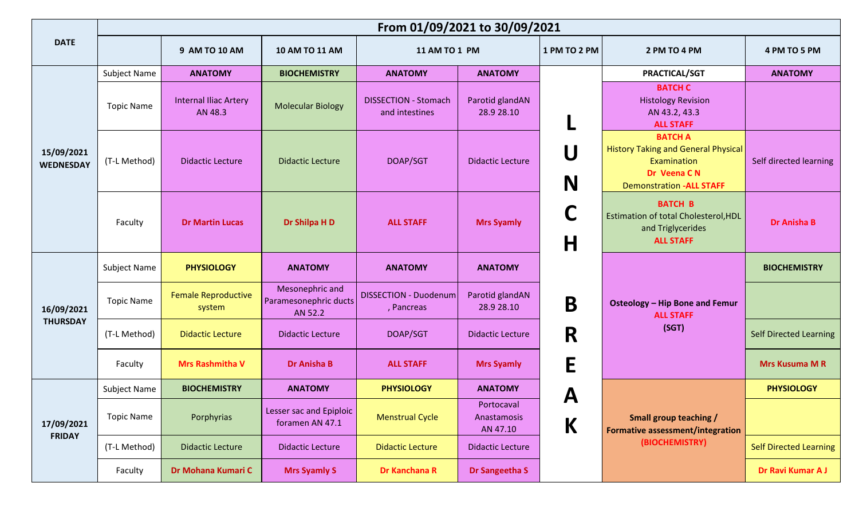|                                |                   |                                         |                                                     | From 01/09/2021 to 30/09/2021                 |                                       |        |                                                                                                        |                                                                                                                               |                        |
|--------------------------------|-------------------|-----------------------------------------|-----------------------------------------------------|-----------------------------------------------|---------------------------------------|--------|--------------------------------------------------------------------------------------------------------|-------------------------------------------------------------------------------------------------------------------------------|------------------------|
| <b>DATE</b>                    |                   | 9 AM TO 10 AM                           | 10 AM TO 11 AM                                      |                                               | 11 AM TO 1 PM<br>1 PM TO 2 PM         |        | 2 PM TO 4 PM                                                                                           | 4 PM TO 5 PM                                                                                                                  |                        |
|                                | Subject Name      | <b>ANATOMY</b>                          | <b>BIOCHEMISTRY</b>                                 | <b>ANATOMY</b>                                | <b>ANATOMY</b>                        |        | PRACTICAL/SGT                                                                                          | <b>ANATOMY</b>                                                                                                                |                        |
| 15/09/2021<br><b>WEDNESDAY</b> | <b>Topic Name</b> | <b>Internal Iliac Artery</b><br>AN 48.3 | <b>Molecular Biology</b>                            | <b>DISSECTION - Stomach</b><br>and intestines | Parotid glandAN<br>28.9 28.10         | U<br>N |                                                                                                        | <b>BATCH C</b><br><b>Histology Revision</b><br>AN 43.2, 43.3<br><b>ALL STAFF</b>                                              |                        |
|                                | (T-L Method)      | <b>Didactic Lecture</b>                 | <b>Didactic Lecture</b>                             | DOAP/SGT                                      | <b>Didactic Lecture</b>               |        |                                                                                                        | <b>BATCH A</b><br><b>History Taking and General Physical</b><br>Examination<br>Dr Veena CN<br><b>Demonstration -ALL STAFF</b> | Self directed learning |
|                                | Faculty           | <b>Dr Martin Lucas</b>                  | Dr Shilpa H D                                       | <b>ALL STAFF</b>                              | <b>Mrs Syamly</b>                     | C<br>H | <b>BATCH B</b><br><b>Estimation of total Cholesterol, HDL</b><br>and Triglycerides<br><b>ALL STAFF</b> | <b>Dr Anisha B</b>                                                                                                            |                        |
|                                | Subject Name      | <b>PHYSIOLOGY</b>                       | <b>ANATOMY</b>                                      | <b>ANATOMY</b>                                | <b>ANATOMY</b>                        |        | <b>Osteology - Hip Bone and Femur</b><br><b>ALL STAFF</b><br>(SGT)                                     | <b>BIOCHEMISTRY</b>                                                                                                           |                        |
| 16/09/2021                     | <b>Topic Name</b> | <b>Female Reproductive</b><br>system    | Mesonephric and<br>Paramesonephric ducts<br>AN 52.2 | <b>DISSECTION - Duodenum</b><br>, Pancreas    | Parotid glandAN<br>28.9 28.10         | B      |                                                                                                        |                                                                                                                               |                        |
| <b>THURSDAY</b>                | (T-L Method)      | <b>Didactic Lecture</b>                 | <b>Didactic Lecture</b>                             | DOAP/SGT                                      | <b>Didactic Lecture</b>               | R      |                                                                                                        | <b>Self Directed Learning</b>                                                                                                 |                        |
|                                | Faculty           | <b>Mrs Rashmitha V</b>                  | <b>Dr Anisha B</b>                                  | <b>ALL STAFF</b>                              | <b>Mrs Syamly</b>                     | E      |                                                                                                        | <b>Mrs Kusuma MR</b>                                                                                                          |                        |
|                                | Subject Name      | <b>BIOCHEMISTRY</b>                     | <b>ANATOMY</b>                                      | <b>PHYSIOLOGY</b>                             | <b>ANATOMY</b>                        | A      |                                                                                                        | <b>PHYSIOLOGY</b>                                                                                                             |                        |
| 17/09/2021                     | <b>Topic Name</b> | Porphyrias                              | Lesser sac and Epiploic<br>foramen AN 47.1          | <b>Menstrual Cycle</b>                        | Portocaval<br>Anastamosis<br>AN 47.10 | K      | Small group teaching /<br>Formative assessment/integration                                             |                                                                                                                               |                        |
| <b>FRIDAY</b>                  | (T-L Method)      | <b>Didactic Lecture</b>                 | <b>Didactic Lecture</b>                             | <b>Didactic Lecture</b>                       | <b>Didactic Lecture</b>               |        | (BIOCHEMISTRY)                                                                                         | <b>Self Directed Learning</b>                                                                                                 |                        |
|                                | Faculty           | Dr Mohana Kumari C                      | <b>Mrs Syamly S</b>                                 | Dr Kanchana R                                 | Dr Sangeetha S                        |        |                                                                                                        | Dr Ravi Kumar A J                                                                                                             |                        |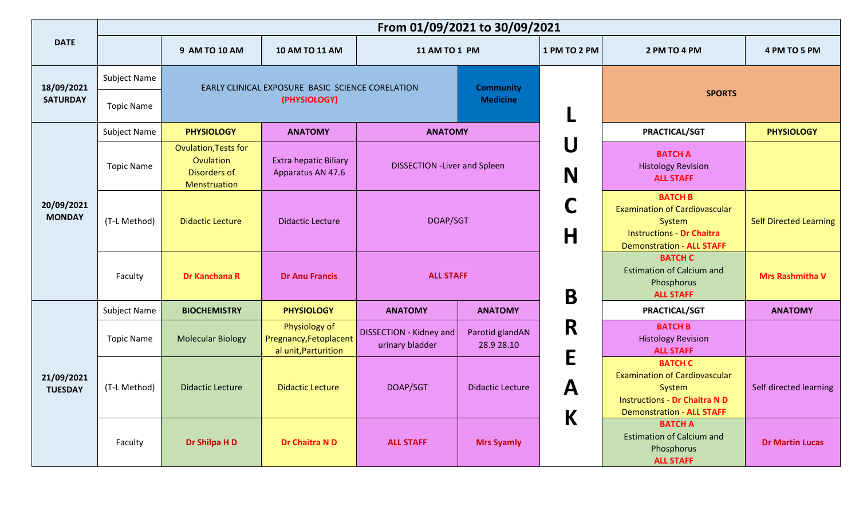|                              | From 01/09/2021 to 30/09/2021 |                                                                                 |                                                                 |                                                   |                               |                           |                                                                                                                                              |                               |  |  |
|------------------------------|-------------------------------|---------------------------------------------------------------------------------|-----------------------------------------------------------------|---------------------------------------------------|-------------------------------|---------------------------|----------------------------------------------------------------------------------------------------------------------------------------------|-------------------------------|--|--|
| <b>DATE</b>                  |                               | 9 AM TO 10 AM                                                                   | <b>10 AM TO 11 AM</b>                                           | 11 AM TO 1 PM                                     |                               | 1 PM TO 2 PM              | 2 PM TO 4 PM                                                                                                                                 | 4 PM TO 5 PM                  |  |  |
| 18/09/2021                   | Subject Name                  |                                                                                 | EARLY CLINICAL EXPOSURE BASIC SCIENCE CORELATION                |                                                   | <b>Community</b>              |                           |                                                                                                                                              |                               |  |  |
| <b>SATURDAY</b>              | <b>Topic Name</b>             |                                                                                 | (PHYSIOLOGY)                                                    | <b>Medicine</b>                                   |                               |                           | <b>SPORTS</b>                                                                                                                                |                               |  |  |
|                              | <b>Subject Name</b>           | <b>PHYSIOLOGY</b>                                                               | <b>ANATOMY</b>                                                  | <b>ANATOMY</b>                                    |                               |                           | <b>PRACTICAL/SGT</b>                                                                                                                         | <b>PHYSIOLOGY</b>             |  |  |
|                              | <b>Topic Name</b>             | <b>Ovulation, Tests for</b><br>Ovulation<br><b>Disorders of</b><br>Menstruation | <b>Extra hepatic Biliary</b><br>Apparatus AN 47.6               | <b>DISSECTION - Liver and Spleen</b>              |                               | U<br>N                    | <b>BATCH A</b><br><b>Histology Revision</b><br><b>ALL STAFF</b>                                                                              |                               |  |  |
| 20/09/2021<br><b>MONDAY</b>  | (T-L Method)                  | <b>Didactic Lecture</b>                                                         | <b>Didactic Lecture</b>                                         | DOAP/SGT                                          |                               | $\mathsf{H}$              | <b>BATCH B</b><br><b>Examination of Cardiovascular</b><br>System<br><b>Instructions - Dr Chaitra</b><br><b>Demonstration - ALL STAFF</b>     | <b>Self Directed Learning</b> |  |  |
|                              | Faculty                       | <b>Dr Kanchana R</b>                                                            | <b>Dr Anu Francis</b>                                           | <b>ALL STAFF</b>                                  |                               | B                         | <b>BATCH C</b><br><b>Estimation of Calcium and</b><br>Phosphorus<br><b>ALL STAFF</b>                                                         | <b>Mrs Rashmitha V</b>        |  |  |
|                              | Subject Name                  | <b>BIOCHEMISTRY</b>                                                             | <b>PHYSIOLOGY</b>                                               | <b>ANATOMY</b>                                    | <b>ANATOMY</b>                |                           | PRACTICAL/SGT                                                                                                                                | <b>ANATOMY</b>                |  |  |
|                              | <b>Topic Name</b>             | <b>Molecular Biology</b>                                                        | Physiology of<br>Pregnancy, Fetoplacent<br>al unit, Parturition | <b>DISSECTION - Kidney and</b><br>urinary bladder | Parotid glandAN<br>28.9 28.10 | R<br>E                    | <b>BATCH B</b><br><b>Histology Revision</b><br><b>ALL STAFF</b>                                                                              |                               |  |  |
| 21/09/2021<br><b>TUESDAY</b> | (T-L Method)                  | <b>Didactic Lecture</b>                                                         | <b>Didactic Lecture</b>                                         | DOAP/SGT                                          | <b>Didactic Lecture</b>       | $\boldsymbol{\mathsf{A}}$ | <b>BATCH C</b><br><b>Examination of Cardiovascular</b><br>System<br><b>Instructions - Dr Chaitra N D</b><br><b>Demonstration - ALL STAFF</b> | Self directed learning        |  |  |
|                              | Faculty                       | Dr Shilpa H D                                                                   | Dr Chaitra N D                                                  | <b>ALL STAFF</b>                                  | <b>Mrs Syamly</b>             | $\mathsf K$               | <b>BATCH A</b><br><b>Estimation of Calcium and</b><br>Phosphorus<br><b>ALL STAFF</b>                                                         | <b>Dr Martin Lucas</b>        |  |  |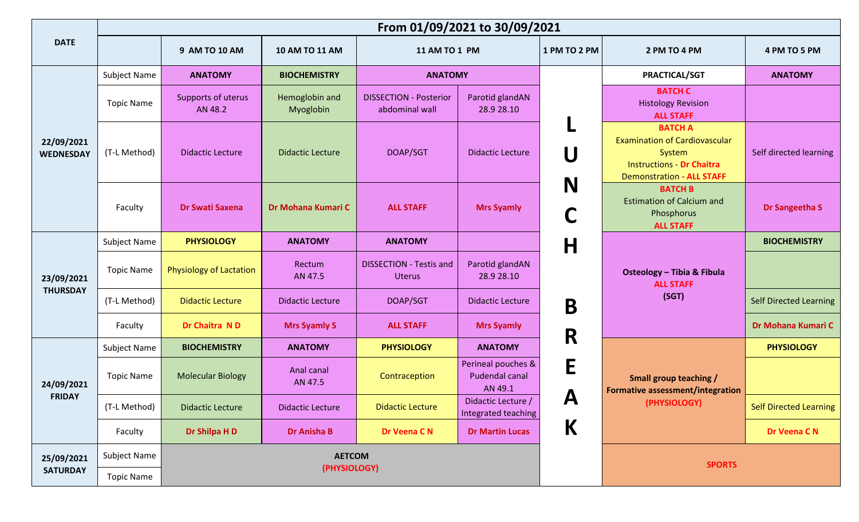|                                |                     |                                |                             | From 01/09/2021 to 30/09/2021                   |                                                        |              |                                                                                                                                          |                               |  |
|--------------------------------|---------------------|--------------------------------|-----------------------------|-------------------------------------------------|--------------------------------------------------------|--------------|------------------------------------------------------------------------------------------------------------------------------------------|-------------------------------|--|
| <b>DATE</b>                    |                     | 9 AM TO 10 AM                  | <b>10 AM TO 11 AM</b>       | <b>11 AM TO 1 PM</b>                            |                                                        | 1 PM TO 2 PM | 2 PM TO 4 PM                                                                                                                             | 4 PM TO 5 PM                  |  |
|                                | <b>Subject Name</b> | <b>ANATOMY</b>                 | <b>BIOCHEMISTRY</b>         | <b>ANATOMY</b>                                  |                                                        |              | <b>PRACTICAL/SGT</b>                                                                                                                     | <b>ANATOMY</b>                |  |
| 22/09/2021<br><b>WEDNESDAY</b> | <b>Topic Name</b>   | Supports of uterus<br>AN 48.2  | Hemoglobin and<br>Myoglobin | <b>DISSECTION - Posterior</b><br>abdominal wall | Parotid glandAN<br>28.9 28.10                          |              | <b>BATCH C</b><br><b>Histology Revision</b><br><b>ALL STAFF</b>                                                                          |                               |  |
|                                | (T-L Method)        | <b>Didactic Lecture</b>        | <b>Didactic Lecture</b>     | DOAP/SGT                                        | <b>Didactic Lecture</b>                                | U            | <b>BATCH A</b><br><b>Examination of Cardiovascular</b><br>System<br><b>Instructions - Dr Chaitra</b><br><b>Demonstration - ALL STAFF</b> | Self directed learning        |  |
|                                | Faculty             | <b>Dr Swati Saxena</b>         | Dr Mohana Kumari C          | <b>ALL STAFF</b>                                | <b>Mrs Syamly</b>                                      | N            | <b>BATCH B</b><br><b>Estimation of Calcium and</b><br>Phosphorus<br><b>ALL STAFF</b>                                                     | Dr Sangeetha S                |  |
|                                | Subject Name        | <b>PHYSIOLOGY</b>              | <b>ANATOMY</b>              | <b>ANATOMY</b>                                  |                                                        | $\mathsf{H}$ |                                                                                                                                          | <b>BIOCHEMISTRY</b>           |  |
| 23/09/2021                     | <b>Topic Name</b>   | <b>Physiology of Lactation</b> | Rectum<br>AN 47.5           | <b>DISSECTION - Testis and</b><br><b>Uterus</b> | Parotid glandAN<br>28.9 28.10                          |              | <b>Osteology - Tibia &amp; Fibula</b><br><b>ALL STAFF</b>                                                                                |                               |  |
| <b>THURSDAY</b>                | (T-L Method)        | <b>Didactic Lecture</b>        | <b>Didactic Lecture</b>     | DOAP/SGT                                        | <b>Didactic Lecture</b>                                | B            | (SGT)                                                                                                                                    | <b>Self Directed Learning</b> |  |
|                                | Faculty             | Dr Chaitra ND                  | <b>Mrs Syamly S</b>         | <b>ALL STAFF</b>                                | <b>Mrs Syamly</b>                                      |              |                                                                                                                                          | Dr Mohana Kumari C            |  |
|                                | Subject Name        | <b>BIOCHEMISTRY</b>            | <b>ANATOMY</b>              | <b>PHYSIOLOGY</b>                               | <b>ANATOMY</b>                                         | R            |                                                                                                                                          | <b>PHYSIOLOGY</b>             |  |
| 24/09/2021                     | <b>Topic Name</b>   | <b>Molecular Biology</b>       | Anal canal<br>AN 47.5       | Contraception                                   | Perineal pouches &<br><b>Pudendal canal</b><br>AN 49.1 | E            | <b>Small group teaching /</b><br><b>Formative assessment/integration</b>                                                                 |                               |  |
| <b>FRIDAY</b>                  | (T-L Method)        | <b>Didactic Lecture</b>        | <b>Didactic Lecture</b>     | <b>Didactic Lecture</b>                         | Didactic Lecture /<br>Integrated teaching              | A            | (PHYSIOLOGY)                                                                                                                             | <b>Self Directed Learning</b> |  |
|                                | Faculty             | Dr Shilpa H D                  | <b>Dr Anisha B</b>          | Dr Veena C N                                    | <b>Dr Martin Lucas</b>                                 | K            |                                                                                                                                          | Dr Veena CN                   |  |
| 25/09/2021                     | Subject Name        |                                | <b>AETCOM</b>               |                                                 |                                                        |              | <b>SPORTS</b>                                                                                                                            |                               |  |
| <b>SATURDAY</b>                | <b>Topic Name</b>   |                                | (PHYSIOLOGY)                |                                                 |                                                        |              |                                                                                                                                          |                               |  |